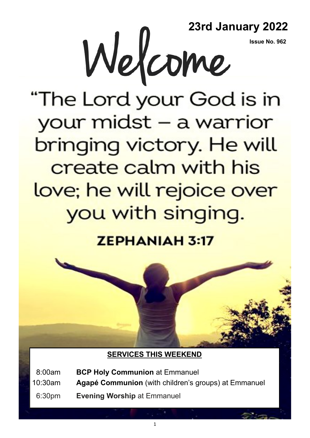**Issue No. 962**



"The Lord your God is in your midst - a warrior bringing victory. He will create calm with his love; he will rejoice over you with singing.

**ZEPHANIAH 3:17** 



### **SERVICES THIS WEEKEND**

08:00am **BCP Holy Communion** at Emmanuel

10:30am **Agapé Communion** (with children's groups) at Emmanuel

06:30pm **Evening Worship** at Emmanuel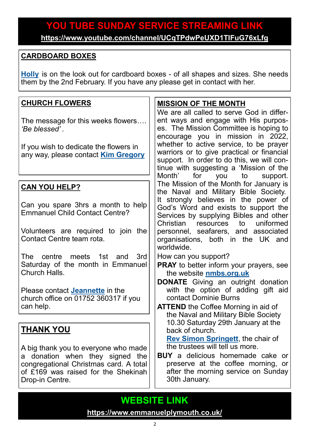# **YOU TUBE SUNDAY SERVICE STREAMING LINK**

**<https://www.youtube.com/channel/UCqTPdwPeUXD1TIFuG76xLfg>**

#### **CARDBOARD BOXES**

**[Holly](mailto:holly.martin@emmanuelplymouth.co.uk)** is on the look out for cardboard boxes - of all shapes and sizes. She needs them by the 2nd February. If you have any please get in contact with her.

#### **THANK YOU** A big thank you to everyone who made a donation when they signed the congregational Christmas card. A total of £169 was raised for the Shekinah Drop-in Centre. **MISSION OF THE MONTH** We are all called to serve God in different ways and engage with His purposes. The Mission Committee is hoping to encourage you in mission in 2022, whether to active service, to be prayer warriors or to give practical or financial support. In order to do this, we will continue with suggesting a 'Mission of the Month' for you to support. The Mission of the Month for January is the Naval and Military Bible Society. It strongly believes in the power of God's Word and exists to support the Services by supplying Bibles and other Christian resources to uniformed personnel, seafarers, and associated organisations, both in the UK and worldwide. How can you support? **PRAY** to better inform your prayers, see the website **[nmbs.org.uk](https://nmbs.org.uk/) DONATE** Giving an outright donation with the option of adding gift aid contact Dominie Burns **ATTEND** the Coffee Morning in aid of the Naval and Military Bible Society 10.30 Saturday 29th January at the back of church. **[Rev Simon Springett](mailto:simonspringett@yahoo.com)**, the chair of the trustees will tell us more. **BUY** a delicious homemade cake or preserve at the coffee morning, or after the morning service on Sunday 30th January. **CHURCH FLOWERS** The message for this weeks flowers…. *'Be blessed' .* If you wish to dedicate the flowers in any way, please contact **[Kim Gregory](mailto:kimkggregory@btinternet.com) CAN YOU HELP?** Can you spare 3hrs a month to help Emmanuel Child Contact Centre? Volunteers are required to join the Contact Centre team rota. The centre meets 1st and 3rd Saturday of the month in Emmanuel Church Halls. Please contact **[Jeannette](mailto:office@emmanuelplymouth.co.uk)** in the church office on 01752 360317 if you can help.

## **WEBSITE LINK**

**<https://www.emmanuelplymouth.co.uk/>**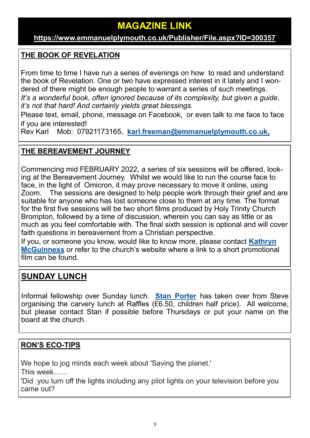## **MAGAZINE LINK**

#### **[https://www.emmanuelplymouth.co.uk/Publisher/File.aspx?ID=300357](https://emmanuelplymouth.co.uk/Publisher/File.aspx?ID=300357)**

#### **THE BOOK OF REVELATION**

From time to time I have run a series of evenings on how to read and understand the book of Revelation. One or two have expressed interest in it lately and I wondered of there might be enough people to warrant a series of such meetings. *It*'s a wonderful book, often ignored because of its complexity, but given a quide, *it's not that hard! And certainly yields great blessings.* 

Please text, email, phone, message on Facebook, or even talk to me face to face if you are interested!

Rev Karl Mob: 07921173165, **[karl.freeman@emmanuelplymouth.co.uk,](mailto:karl.freeman@emmanuelplymouth.co.uk)**

#### **THE BEREAVEMENT JOURNEY**

Commencing mid FEBRUARY 2022, a series of six sessions will be offered, looking at the Bereavement Journey. Whilst we would like to run the course face to face, in the light of Omicron, it may prove necessary to move it online, using Zoom. The sessions are designed to help people work through their grief and are suitable for anyone who has lost someone close to them at any time. The format for the first five sessions will be two short films produced by Holy Trinity Church Brompton, followed by a time of discussion, wherein you can say as little or as much as you feel comfortable with. The final sixth session is optional and will cover faith questions in bereavement from a Christian perspective.

If you, or someone you know, would like to know more, please contact **[Kathryn](mailto:kmcguinness59@gmail.com)  [McGuinness](mailto:kmcguinness59@gmail.com)** or refer to the church's website where a link to a short promotional film can be found.

## **SUNDAY LUNCH**

Informal fellowship over Sunday lunch. **[Stan Porter](mailto:stanlaptop@blueyonder.co.uk)** has taken over from Steve organising the carvery lunch at Raffles  $(E6.50,$  children half price). All welcome, but please contact Stan if possible before Thursdays or put your name on the board at the church.

#### **RON'S ECO-TIPS**

We hope to jog minds each week about 'Saving the planet.'

This week…...

'Did you turn off the lights including any pilot lights on your television before you came out?